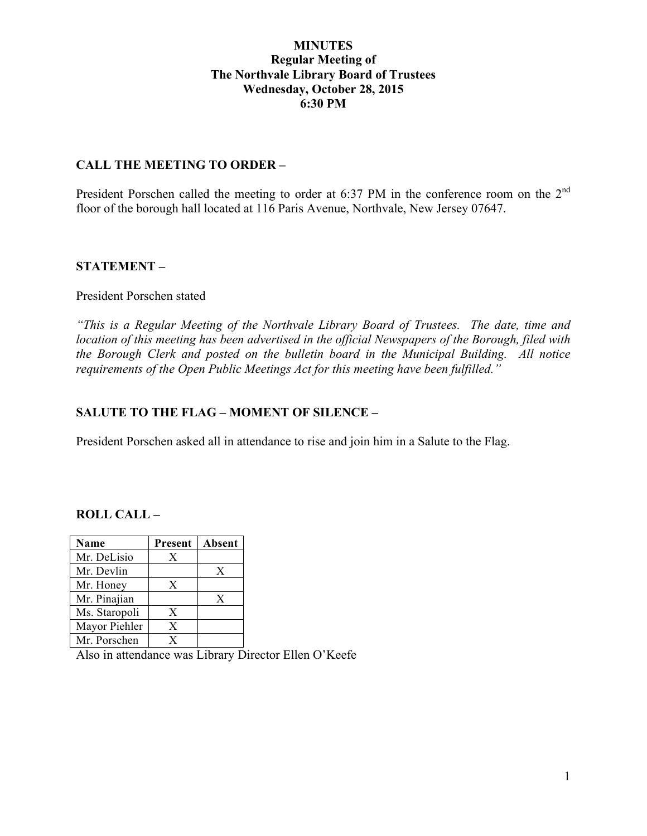## **MINUTES Regular Meeting of The Northvale Library Board of Trustees Wednesday, October 28, 2015 6:30 PM**

### **CALL THE MEETING TO ORDER –**

President Porschen called the meeting to order at 6:37 PM in the conference room on the 2<sup>nd</sup> floor of the borough hall located at 116 Paris Avenue, Northvale, New Jersey 07647.

### **STATEMENT –**

### President Porschen stated

*"This is a Regular Meeting of the Northvale Library Board of Trustees. The date, time and location of this meeting has been advertised in the official Newspapers of the Borough, filed with the Borough Clerk and posted on the bulletin board in the Municipal Building. All notice requirements of the Open Public Meetings Act for this meeting have been fulfilled."* 

### **SALUTE TO THE FLAG – MOMENT OF SILENCE –**

President Porschen asked all in attendance to rise and join him in a Salute to the Flag.

### **ROLL CALL –**

| <b>Name</b>   | <b>Present</b> | Absent |
|---------------|----------------|--------|
| Mr. DeLisio   | X              |        |
| Mr. Devlin    |                | X      |
| Mr. Honey     | X              |        |
| Mr. Pinajian  |                | X      |
| Ms. Staropoli | X              |        |
| Mayor Piehler | X              |        |
| Mr. Porschen  | Y              |        |

Also in attendance was Library Director Ellen O'Keefe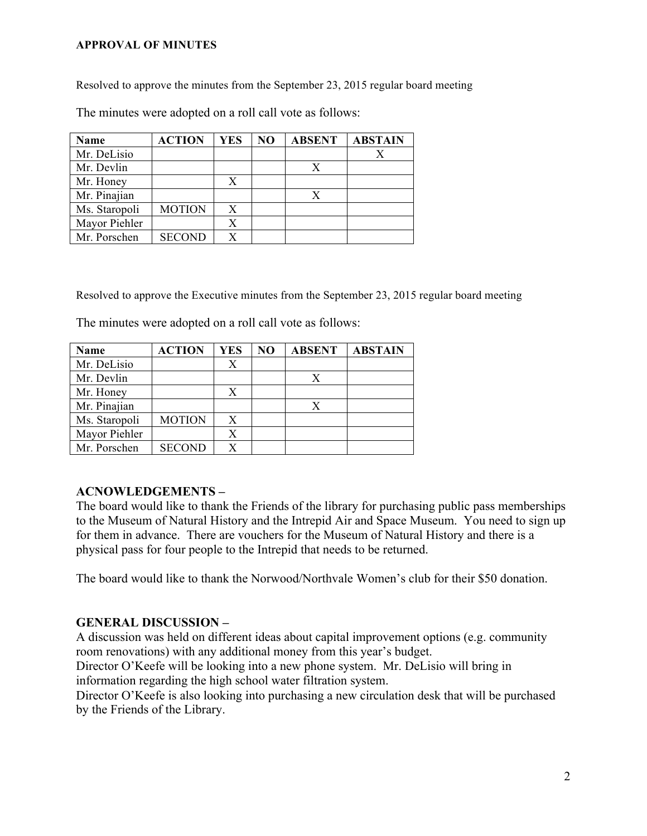#### **APPROVAL OF MINUTES**

Resolved to approve the minutes from the September 23, 2015 regular board meeting

The minutes were adopted on a roll call vote as follows:

| <b>Name</b>   | <b>ACTION</b> | YES | N <sub>O</sub> | <b>ABSENT</b> | <b>ABSTAIN</b> |
|---------------|---------------|-----|----------------|---------------|----------------|
| Mr. DeLisio   |               |     |                |               |                |
| Mr. Devlin    |               |     |                |               |                |
| Mr. Honey     |               | X   |                |               |                |
| Mr. Pinajian  |               |     |                | X             |                |
| Ms. Staropoli | <b>MOTION</b> | X   |                |               |                |
| Mayor Piehler |               | X   |                |               |                |
| Mr. Porschen  | <b>SECOND</b> |     |                |               |                |

Resolved to approve the Executive minutes from the September 23, 2015 regular board meeting

The minutes were adopted on a roll call vote as follows:

| <b>Name</b>   | <b>ACTION</b> | <b>YES</b> | N <sub>O</sub> | <b>ABSENT</b> | <b>ABSTAIN</b> |
|---------------|---------------|------------|----------------|---------------|----------------|
| Mr. DeLisio   |               | Х          |                |               |                |
| Mr. Devlin    |               |            |                |               |                |
| Mr. Honey     |               | X          |                |               |                |
| Mr. Pinajian  |               |            |                |               |                |
| Ms. Staropoli | <b>MOTION</b> | X          |                |               |                |
| Mayor Piehler |               | X          |                |               |                |
| Mr. Porschen  | <b>SECOND</b> | X          |                |               |                |

### **ACNOWLEDGEMENTS –**

The board would like to thank the Friends of the library for purchasing public pass memberships to the Museum of Natural History and the Intrepid Air and Space Museum. You need to sign up for them in advance. There are vouchers for the Museum of Natural History and there is a physical pass for four people to the Intrepid that needs to be returned.

The board would like to thank the Norwood/Northvale Women's club for their \$50 donation.

### **GENERAL DISCUSSION –**

A discussion was held on different ideas about capital improvement options (e.g. community room renovations) with any additional money from this year's budget.

Director O'Keefe will be looking into a new phone system. Mr. DeLisio will bring in information regarding the high school water filtration system.

Director O'Keefe is also looking into purchasing a new circulation desk that will be purchased by the Friends of the Library.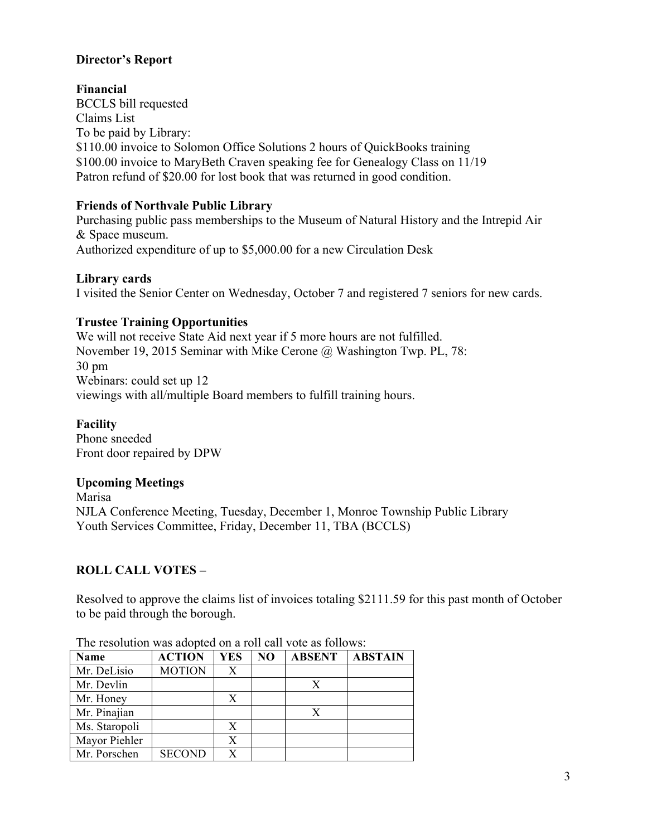# **Director's Report**

**Financial** BCCLS bill requested Claims List To be paid by Library: \$110.00 invoice to Solomon Office Solutions 2 hours of OuickBooks training \$100.00 invoice to MaryBeth Craven speaking fee for Genealogy Class on 11/19 Patron refund of \$20.00 for lost book that was returned in good condition.

## **Friends of Northvale Public Library**

Purchasing public pass memberships to the Museum of Natural History and the Intrepid Air & Space museum. Authorized expenditure of up to \$5,000.00 for a new Circulation Desk

### **Library cards**

I visited the Senior Center on Wednesday, October 7 and registered 7 seniors for new cards.

# **Trustee Training Opportunities**

We will not receive State Aid next year if 5 more hours are not fulfilled. November 19, 2015 Seminar with Mike Cerone @ Washington Twp. PL, 78: 30 pm Webinars: could set up 12 viewings with all/multiple Board members to fulfill training hours.

### **Facility**

Phone sneeded Front door repaired by DPW

### **Upcoming Meetings**

Marisa NJLA Conference Meeting, Tuesday, December 1, Monroe Township Public Library Youth Services Committee, Friday, December 11, TBA (BCCLS)

# **ROLL CALL VOTES –**

Resolved to approve the claims list of invoices totaling \$2111.59 for this past month of October to be paid through the borough.

| <b>Name</b>   | <b>ACTION</b> | <b>YES</b> | N <sub>O</sub> | <b>ABSENT</b> | <b>ABSTAIN</b> |
|---------------|---------------|------------|----------------|---------------|----------------|
| Mr. DeLisio   | <b>MOTION</b> | X          |                |               |                |
| Mr. Devlin    |               |            |                | X             |                |
| Mr. Honey     |               |            |                |               |                |
| Mr. Pinajian  |               |            |                | X             |                |
| Ms. Staropoli |               | X          |                |               |                |
| Mayor Piehler |               | X          |                |               |                |
| Mr. Porschen  | <b>SECOND</b> |            |                |               |                |

The resolution was adopted on a roll call vote as follows: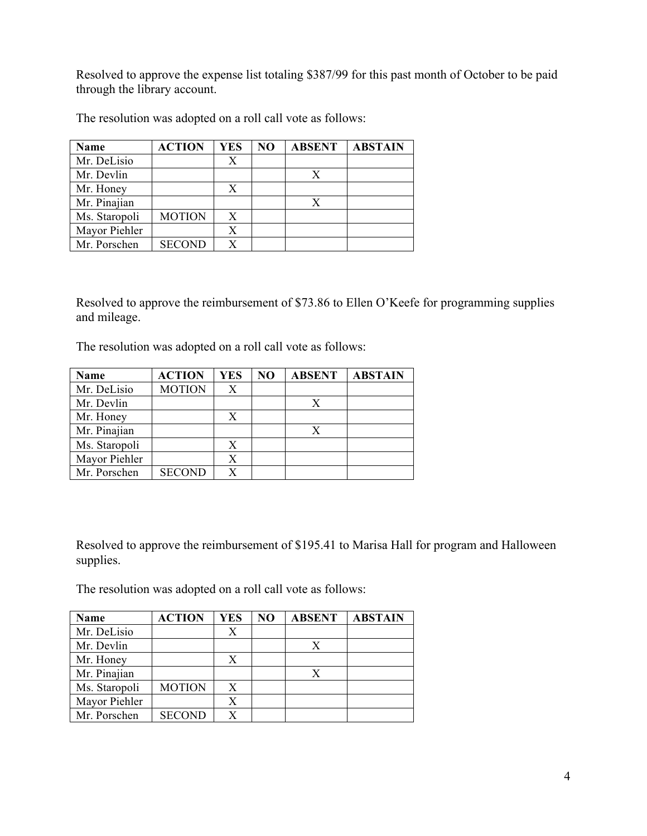Resolved to approve the expense list totaling \$387/99 for this past month of October to be paid through the library account.

| <b>Name</b>   | <b>ACTION</b> | <b>YES</b> | N <sub>O</sub> | <b>ABSENT</b> | <b>ABSTAIN</b> |
|---------------|---------------|------------|----------------|---------------|----------------|
| Mr. DeLisio   |               | Х          |                |               |                |
| Mr. Devlin    |               |            |                | X             |                |
| Mr. Honey     |               | X          |                |               |                |
| Mr. Pinajian  |               |            |                |               |                |
| Ms. Staropoli | <b>MOTION</b> | X          |                |               |                |
| Mayor Piehler |               |            |                |               |                |
| Mr. Porschen  | <b>SECOND</b> |            |                |               |                |

The resolution was adopted on a roll call vote as follows:

Resolved to approve the reimbursement of \$73.86 to Ellen O'Keefe for programming supplies and mileage.

The resolution was adopted on a roll call vote as follows:

| <b>Name</b>   | <b>ACTION</b> | <b>YES</b> | N <sub>O</sub> | <b>ABSENT</b> | <b>ABSTAIN</b> |
|---------------|---------------|------------|----------------|---------------|----------------|
| Mr. DeLisio   | <b>MOTION</b> | X          |                |               |                |
| Mr. Devlin    |               |            |                |               |                |
| Mr. Honey     |               | Х          |                |               |                |
| Mr. Pinajian  |               |            |                |               |                |
| Ms. Staropoli |               |            |                |               |                |
| Mayor Piehler |               | X          |                |               |                |
| Mr. Porschen  | <b>SECOND</b> |            |                |               |                |

Resolved to approve the reimbursement of \$195.41 to Marisa Hall for program and Halloween supplies.

The resolution was adopted on a roll call vote as follows:

| <b>Name</b>   | <b>ACTION</b> | YES | N <sub>O</sub> | <b>ABSENT</b> | <b>ABSTAIN</b> |
|---------------|---------------|-----|----------------|---------------|----------------|
| Mr. DeLisio   |               | X   |                |               |                |
| Mr. Devlin    |               |     |                | Х             |                |
| Mr. Honey     |               | X   |                |               |                |
| Mr. Pinajian  |               |     |                | X             |                |
| Ms. Staropoli | <b>MOTION</b> | X   |                |               |                |
| Mayor Piehler |               | X   |                |               |                |
| Mr. Porschen  | <b>SECOND</b> |     |                |               |                |